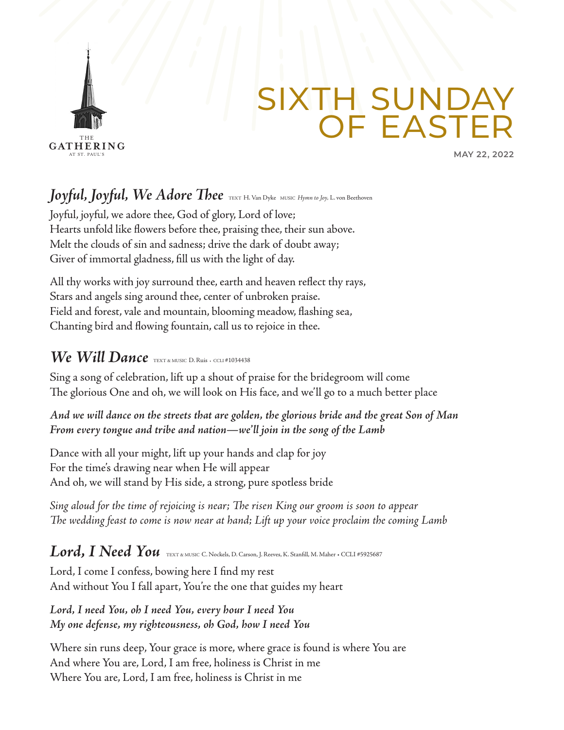

# SIXTH SUNDAY OF EASTER

**MAY 22, 2022**

*Joyful, Joyful, We Adore Thee* TEXT H. Van Dyke MUSIC *Hymn to Joy, L.* von Beethoven

Joyful, joyful, we adore thee, God of glory, Lord of love; Hearts unfold like flowers before thee, praising thee, their sun above. Melt the clouds of sin and sadness; drive the dark of doubt away; Giver of immortal gladness, fill us with the light of day.

All thy works with joy surround thee, earth and heaven reflect thy rays, Stars and angels sing around thee, center of unbroken praise. Field and forest, vale and mountain, blooming meadow, flashing sea, Chanting bird and flowing fountain, call us to rejoice in thee.

#### *We Will Dance* TEXT & MUSIC D. Ruis • CCLI #1034438

Sing a song of celebration, lift up a shout of praise for the bridegroom will come The glorious One and oh, we will look on His face, and we'll go to a much better place

*And we will dance on the streets that are golden, the glorious bride and the great Son of Man From every tongue and tribe and nation—we'll join in the song of the Lamb*

Dance with all your might, lift up your hands and clap for joy For the time's drawing near when He will appear And oh, we will stand by His side, a strong, pure spotless bride

*Sing aloud for the time of rejoicing is near; The risen King our groom is soon to appear The wedding feast to come is now near at hand; Lift up your voice proclaim the coming Lamb*

#### *Lord, I Need You* TEXT & MUSIC C. Nockels, D. Carson, J. Reeves, K. Stanfill, M. Maher • CCLI #5925687

Lord, I come I confess, bowing here I find my rest And without You I fall apart, You're the one that guides my heart

*Lord, I need You, oh I need You, every hour I need You My one defense, my righteousness, oh God, how I need You*

Where sin runs deep, Your grace is more, where grace is found is where You are And where You are, Lord, I am free, holiness is Christ in me Where You are, Lord, I am free, holiness is Christ in me